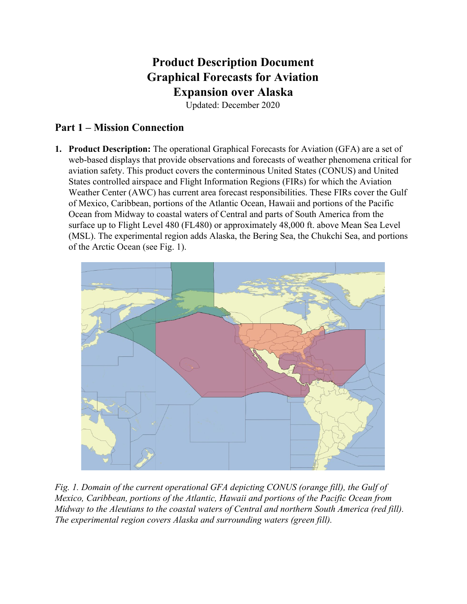## **Product Description Document Graphical Forecasts for Aviation Expansion over Alaska**

Updated: December 2020

## **Part 1 – Mission Connection**

**1. Product Description:** The operational Graphical Forecasts for Aviation (GFA) are a set of web-based displays that provide observations and forecasts of weather phenomena critical for aviation safety. This product covers the conterminous United States (CONUS) and United States controlled airspace and Flight Information Regions (FIRs) for which the Aviation Weather Center (AWC) has current area forecast responsibilities. These FIRs cover the Gulf of Mexico, Caribbean, portions of the Atlantic Ocean, Hawaii and portions of the Pacific Ocean from Midway to coastal waters of Central and parts of South America from the surface up to Flight Level 480 (FL480) or approximately 48,000 ft. above Mean Sea Level (MSL). The experimental region adds Alaska, the Bering Sea, the Chukchi Sea, and portions of the Arctic Ocean (see Fig. 1).



*Fig. 1. Domain of the current operational GFA depicting CONUS (orange fill), the Gulf of Mexico, Caribbean, portions of the Atlantic, Hawaii and portions of the Pacific Ocean from Midway to the Aleutians to the coastal waters of Central and northern South America (red fill). The experimental region covers Alaska and surrounding waters (green fill).*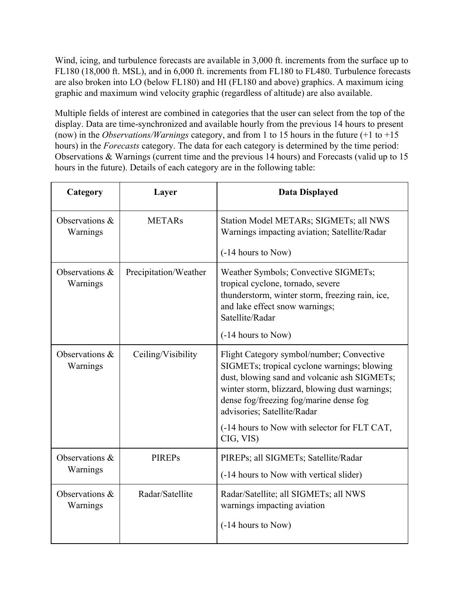Wind, icing, and turbulence forecasts are available in 3,000 ft. increments from the surface up to FL180 (18,000 ft. MSL), and in 6,000 ft. increments from FL180 to FL480. Turbulence forecasts are also broken into LO (below FL180) and HI (FL180 and above) graphics. A maximum icing graphic and maximum wind velocity graphic (regardless of altitude) are also available.

Multiple fields of interest are combined in categories that the user can select from the top of the display. Data are time-synchronized and available hourly from the previous 14 hours to present (now) in the *Observations/Warnings* category, and from 1 to 15 hours in the future (+1 to +15 hours) in the *Forecasts* category. The data for each category is determined by the time period: Observations & Warnings (current time and the previous 14 hours) and Forecasts (valid up to 15 hours in the future). Details of each category are in the following table:

| Category                      | Layer                 | <b>Data Displayed</b>                                                                                                                                                                                                                                                                                                             |
|-------------------------------|-----------------------|-----------------------------------------------------------------------------------------------------------------------------------------------------------------------------------------------------------------------------------------------------------------------------------------------------------------------------------|
| Observations $\&$<br>Warnings | <b>METARs</b>         | Station Model METARs; SIGMETs; all NWS<br>Warnings impacting aviation; Satellite/Radar<br>(-14 hours to Now)                                                                                                                                                                                                                      |
| Observations $\&$<br>Warnings | Precipitation/Weather | Weather Symbols; Convective SIGMETs;<br>tropical cyclone, tornado, severe<br>thunderstorm, winter storm, freezing rain, ice,<br>and lake effect snow warnings;<br>Satellite/Radar<br>(-14 hours to Now)                                                                                                                           |
| Observations $\&$<br>Warnings | Ceiling/Visibility    | Flight Category symbol/number; Convective<br>SIGMETs; tropical cyclone warnings; blowing<br>dust, blowing sand and volcanic ash SIGMETs;<br>winter storm, blizzard, blowing dust warnings;<br>dense fog/freezing fog/marine dense fog<br>advisories; Satellite/Radar<br>(-14 hours to Now with selector for FLT CAT,<br>CIG, VIS) |
| Observations $\&$<br>Warnings | <b>PIREPs</b>         | PIREPs; all SIGMETs; Satellite/Radar<br>(-14 hours to Now with vertical slider)                                                                                                                                                                                                                                                   |
| Observations $\&$<br>Warnings | Radar/Satellite       | Radar/Satellite; all SIGMETs; all NWS<br>warnings impacting aviation<br>(-14 hours to Now)                                                                                                                                                                                                                                        |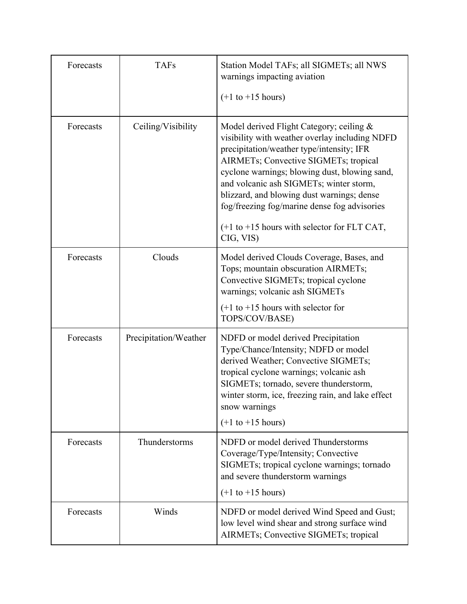| Forecasts | <b>TAFs</b>           | Station Model TAFs; all SIGMETs; all NWS<br>warnings impacting aviation                                                                                                                                                                                                                                                                                                                                                                    |
|-----------|-----------------------|--------------------------------------------------------------------------------------------------------------------------------------------------------------------------------------------------------------------------------------------------------------------------------------------------------------------------------------------------------------------------------------------------------------------------------------------|
|           |                       | $(+1$ to $+15$ hours)                                                                                                                                                                                                                                                                                                                                                                                                                      |
| Forecasts | Ceiling/Visibility    | Model derived Flight Category; ceiling &<br>visibility with weather overlay including NDFD<br>precipitation/weather type/intensity; IFR<br>AIRMETs; Convective SIGMETs; tropical<br>cyclone warnings; blowing dust, blowing sand,<br>and volcanic ash SIGMETs; winter storm,<br>blizzard, and blowing dust warnings; dense<br>fog/freezing fog/marine dense fog advisories<br>$(+1$ to $+15$ hours with selector for FLT CAT,<br>CIG, VIS) |
| Forecasts | Clouds                | Model derived Clouds Coverage, Bases, and<br>Tops; mountain obscuration AIRMETs;<br>Convective SIGMETs; tropical cyclone<br>warnings; volcanic ash SIGMETs<br>$(+1)$ to $+15$ hours with selector for<br>TOPS/COV/BASE)                                                                                                                                                                                                                    |
| Forecasts | Precipitation/Weather | NDFD or model derived Precipitation<br>Type/Chance/Intensity; NDFD or model<br>derived Weather; Convective SIGMETs;<br>tropical cyclone warnings; volcanic ash<br>SIGMETs; tornado, severe thunderstorm,<br>winter storm, ice, freezing rain, and lake effect<br>snow warnings<br>$(+1$ to $+15$ hours)                                                                                                                                    |
| Forecasts | Thunderstorms         | NDFD or model derived Thunderstorms<br>Coverage/Type/Intensity; Convective<br>SIGMETs; tropical cyclone warnings; tornado<br>and severe thunderstorm warnings<br>$(+1$ to $+15$ hours)                                                                                                                                                                                                                                                     |
| Forecasts | Winds                 | NDFD or model derived Wind Speed and Gust;<br>low level wind shear and strong surface wind<br>AIRMETs; Convective SIGMETs; tropical                                                                                                                                                                                                                                                                                                        |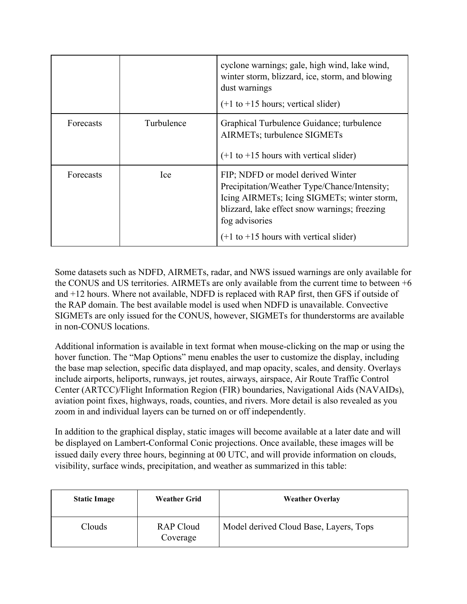|           |            | cyclone warnings; gale, high wind, lake wind,<br>winter storm, blizzard, ice, storm, and blowing<br>dust warnings<br>$(+1 \text{ to } +15 \text{ hours})$ ; vertical slider)                                                                       |
|-----------|------------|----------------------------------------------------------------------------------------------------------------------------------------------------------------------------------------------------------------------------------------------------|
| Forecasts | Turbulence | Graphical Turbulence Guidance; turbulence<br>AIRMETs; turbulence SIGMETs<br>$(+1)$ to $+15$ hours with vertical slider)                                                                                                                            |
| Forecasts | Ice        | FIP; NDFD or model derived Winter<br>Precipitation/Weather Type/Chance/Intensity;<br>Icing AIRMETs; Icing SIGMETs; winter storm,<br>blizzard, lake effect snow warnings; freezing<br>fog advisories<br>$(+1)$ to $+15$ hours with vertical slider) |

Some datasets such as NDFD, AIRMETs, radar, and NWS issued warnings are only available for the CONUS and US territories. AIRMETs are only available from the current time to between +6 and +12 hours. Where not available, NDFD is replaced with RAP first, then GFS if outside of the RAP domain. The best available model is used when NDFD is unavailable. Convective SIGMETs are only issued for the CONUS, however, SIGMETs for thunderstorms are available in non-CONUS locations.

Additional information is available in text format when mouse-clicking on the map or using the hover function. The "Map Options" menu enables the user to customize the display, including the base map selection, specific data displayed, and map opacity, scales, and density. Overlays include airports, heliports, runways, jet routes, airways, airspace, Air Route Traffic Control Center (ARTCC)/Flight Information Region (FIR) boundaries, Navigational Aids (NAVAIDs), aviation point fixes, highways, roads, counties, and rivers. More detail is also revealed as you zoom in and individual layers can be turned on or off independently.

In addition to the graphical display, static images will become available at a later date and will be displayed on Lambert-Conformal Conic projections. Once available, these images will be issued daily every three hours, beginning at 00 UTC, and will provide information on clouds, visibility, surface winds, precipitation, and weather as summarized in this table:

| <b>Static Image</b> | <b>Weather Grid</b>          | <b>Weather Overlay</b>                 |
|---------------------|------------------------------|----------------------------------------|
| Clouds              | <b>RAP Cloud</b><br>Coverage | Model derived Cloud Base, Layers, Tops |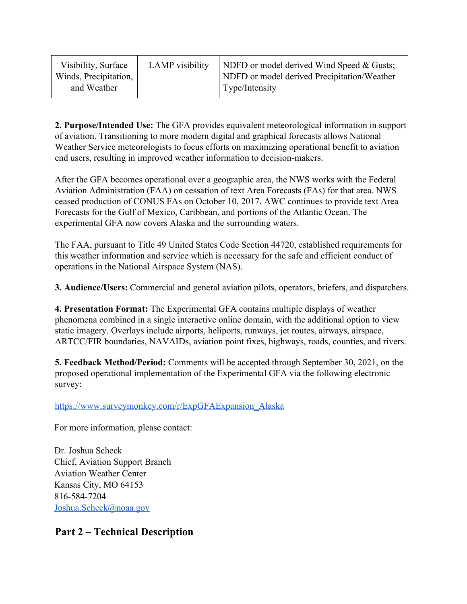| Visibility, Surface   | LAMP visibility | NDFD or model derived Wind Speed & Gusts;   |
|-----------------------|-----------------|---------------------------------------------|
| Winds, Precipitation, |                 | NDFD or model derived Precipitation/Weather |
| and Weather           |                 | Type/Intensity                              |

**2. Purpose/Intended Use:** The GFA provides equivalent meteorological information in support of aviation. Transitioning to more modern digital and graphical forecasts allows National Weather Service meteorologists to focus efforts on maximizing operational benefit to aviation end users, resulting in improved weather information to decision-makers.

After the GFA becomes operational over a geographic area, the NWS works with the Federal Aviation Administration (FAA) on cessation of text Area Forecasts (FAs) for that area. NWS ceased production of CONUS FAs on October 10, 2017. AWC continues to provide text Area Forecasts for the Gulf of Mexico, Caribbean, and portions of the Atlantic Ocean. The experimental GFA now covers Alaska and the surrounding waters.

The FAA, pursuant to Title 49 United States Code Section 44720, established requirements for this weather information and service which is necessary for the safe and efficient conduct of operations in the National Airspace System (NAS).

**3. Audience/Users:** Commercial and general aviation pilots, operators, briefers, and dispatchers.

**4. Presentation Format:** The Experimental GFA contains multiple displays of weather phenomena combined in a single interactive online domain, with the additional option to view static imagery. Overlays include airports, heliports, runways, jet routes, airways, airspace, ARTCC/FIR boundaries, NAVAIDs, aviation point fixes, highways, roads, counties, and rivers.

**5. Feedback Method/Period:** Comments will be accepted through September 30, 2021, on the proposed operational implementation of the Experimental GFA via the following electronic survey:

[https://www.surveymonkey.com/r/ExpGFAExpansion\\_Alaska](https://www.surveymonkey.com/r/ExpGFAExpansion_Alaska)

For more information, please contact:

Dr. Joshua Scheck Chief, Aviation Support Branch Aviation Weather Center Kansas City, MO 64153 816-584-7204 [Joshua.Scheck@noaa.gov](mailto:Joshua.Scheck@noaa.gov)

## **Part 2 – Technical Description**